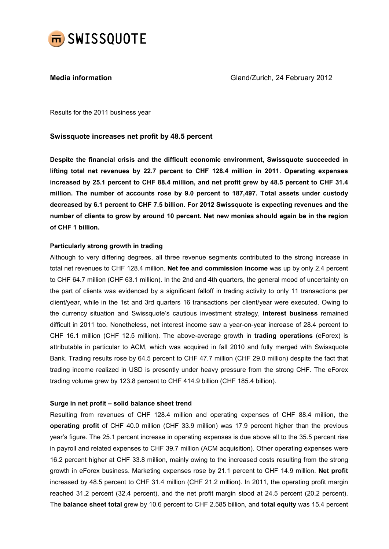

Media information Gland/Zurich, 24 February 2012

Results for the 2011 business year

## Swissquote increases net profit by 48.5 percent

Despite the financial crisis and the difficult economic environment, Swissquote succeeded in lifting total net revenues by 22.7 percent to CHF 128.4 million in 2011. Operating expenses increased by 25.1 percent to CHF 88.4 million, and net profit grew by 48.5 percent to CHF 31.4 million. The number of accounts rose by 9.0 percent to 187,497. Total assets under custody decreased by 6.1 percent to CHF 7.5 billion. For 2012 Swissquote is expecting revenues and the number of clients to grow by around 10 percent. Net new monies should again be in the region of CHF 1 billion.

## Particularly strong growth in trading

Although to very differing degrees, all three revenue segments contributed to the strong increase in total net revenues to CHF 128.4 million. Net fee and commission income was up by only 2.4 percent to CHF 64.7 million (CHF 63.1 million). In the 2nd and 4th quarters, the general mood of uncertainty on the part of clients was evidenced by a significant falloff in trading activity to only 11 transactions per client/year, while in the 1st and 3rd quarters 16 transactions per client/year were executed. Owing to the currency situation and Swissquote's cautious investment strategy, interest business remained difficult in 2011 too. Nonetheless, net interest income saw a year-on-year increase of 28.4 percent to CHF 16.1 million (CHF 12.5 million). The above-average growth in trading operations (eForex) is attributable in particular to ACM, which was acquired in fall 2010 and fully merged with Swissquote Bank. Trading results rose by 64.5 percent to CHF 47.7 million (CHF 29.0 million) despite the fact that trading income realized in USD is presently under heavy pressure from the strong CHF. The eForex trading volume grew by 123.8 percent to CHF 414.9 billion (CHF 185.4 billion).

### Surge in net profit – solid balance sheet trend

Resulting from revenues of CHF 128.4 million and operating expenses of CHF 88.4 million, the operating profit of CHF 40.0 million (CHF 33.9 million) was 17.9 percent higher than the previous year's figure. The 25.1 percent increase in operating expenses is due above all to the 35.5 percent rise in payroll and related expenses to CHF 39.7 million (ACM acquisition). Other operating expenses were 16.2 percent higher at CHF 33.8 million, mainly owing to the increased costs resulting from the strong growth in eForex business. Marketing expenses rose by 21.1 percent to CHF 14.9 million. Net profit increased by 48.5 percent to CHF 31.4 million (CHF 21.2 million). In 2011, the operating profit margin reached 31.2 percent (32.4 percent), and the net profit margin stood at 24.5 percent (20.2 percent). The **balance sheet total** grew by 10.6 percent to CHF 2.585 billion, and **total equity** was 15.4 percent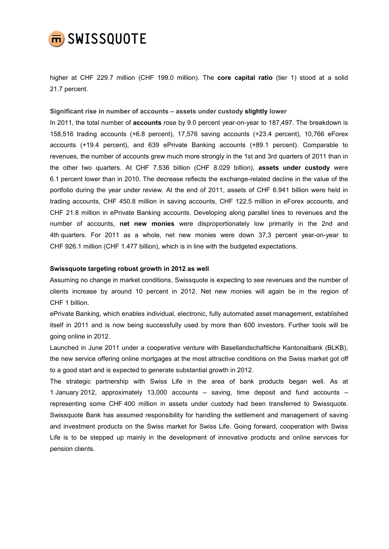

higher at CHF 229.7 million (CHF 199.0 million). The core capital ratio (tier 1) stood at a solid 21.7 percent.

## Significant rise in number of accounts – assets under custody slightly lower

In 2011, the total number of accounts rose by 9.0 percent year-on-year to 187,497. The breakdown is 158,516 trading accounts (+6.8 percent), 17,576 saving accounts (+23.4 percent), 10,766 eForex accounts (+19.4 percent), and 639 ePrivate Banking accounts (+89.1 percent). Comparable to revenues, the number of accounts grew much more strongly in the 1st and 3rd quarters of 2011 than in the other two quarters. At CHF 7.536 billion (CHF 8.029 billion), assets under custody were 6.1 percent lower than in 2010. The decrease reflects the exchange-related decline in the value of the portfolio during the year under review. At the end of 2011, assets of CHF 6.941 billion were held in trading accounts, CHF 450.8 million in saving accounts, CHF 122.5 million in eForex accounts, and CHF 21.8 million in ePrivate Banking accounts. Developing along parallel lines to revenues and the number of accounts, net new monies were disproportionately low primarily in the 2nd and 4th quarters. For 2011 as a whole, net new monies were down 37,3 percent year-on-year to CHF 926.1 million (CHF 1.477 billion), which is in line with the budgeted expectations.

### Swissquote targeting robust growth in 2012 as well

Assuming no change in market conditions, Swissquote is expecting to see revenues and the number of clients increase by around 10 percent in 2012. Net new monies will again be in the region of CHF 1 billion.

ePrivate Banking, which enables individual, electronic, fully automated asset management, established itself in 2011 and is now being successfully used by more than 600 investors. Further tools will be going online in 2012.

Launched in June 2011 under a cooperative venture with Basellandschaftliche Kantonalbank (BLKB), the new service offering online mortgages at the most attractive conditions on the Swiss market got off to a good start and is expected to generate substantial growth in 2012.

The strategic partnership with Swiss Life in the area of bank products began well. As at 1 January 2012, approximately 13,000 accounts – saving, time deposit and fund accounts – representing some CHF 400 million in assets under custody had been transferred to Swissquote. Swissquote Bank has assumed responsibility for handling the settlement and management of saving and investment products on the Swiss market for Swiss Life. Going forward, cooperation with Swiss Life is to be stepped up mainly in the development of innovative products and online services for pension clients.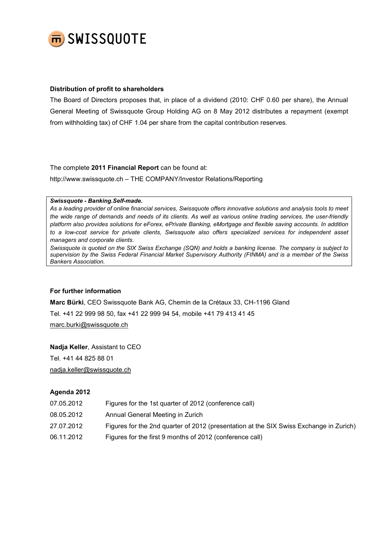

## Distribution of profit to shareholders

The Board of Directors proposes that, in place of a dividend (2010: CHF 0.60 per share), the Annual General Meeting of Swissquote Group Holding AG on 8 May 2012 distributes a repayment (exempt from withholding tax) of CHF 1.04 per share from the capital contribution reserves.

The complete 2011 Financial Report can be found at:

http://www.swissquote.ch – THE COMPANY/Investor Relations/Reporting

#### Swissquote - Banking.Self-made.

As a leading provider of online financial services, Swissquote offers innovative solutions and analysis tools to meet the wide range of demands and needs of its clients. As well as various online trading services, the user-friendly platform also provides solutions for eForex, ePrivate Banking, eMortgage and flexible saving accounts. In addition to a low-cost service for private clients, Swissquote also offers specialized services for independent asset managers and corporate clients.

Swissquote is quoted on the SIX Swiss Exchange (SQN) and holds a banking license. The company is subject to supervision by the Swiss Federal Financial Market Supervisory Authority (FINMA) and is a member of the Swiss Bankers Association.

### For further information

Marc Bürki, CEO Swissquote Bank AG, Chemin de la Crétaux 33, CH-1196 Gland Tel. +41 22 999 98 50, fax +41 22 999 94 54, mobile +41 79 413 41 45 marc.burki@swissquote.ch

Nadja Keller, Assistant to CEO Tel. +41 44 825 88 01 nadja.keller@swissquote.ch

# Agenda 2012

| 07.05.2012 | Figures for the 1st quarter of 2012 (conference call)                                  |
|------------|----------------------------------------------------------------------------------------|
| 08.05.2012 | Annual General Meeting in Zurich                                                       |
| 27.07.2012 | Figures for the 2nd quarter of 2012 (presentation at the SIX Swiss Exchange in Zurich) |
| 06.11.2012 | Figures for the first 9 months of 2012 (conference call)                               |